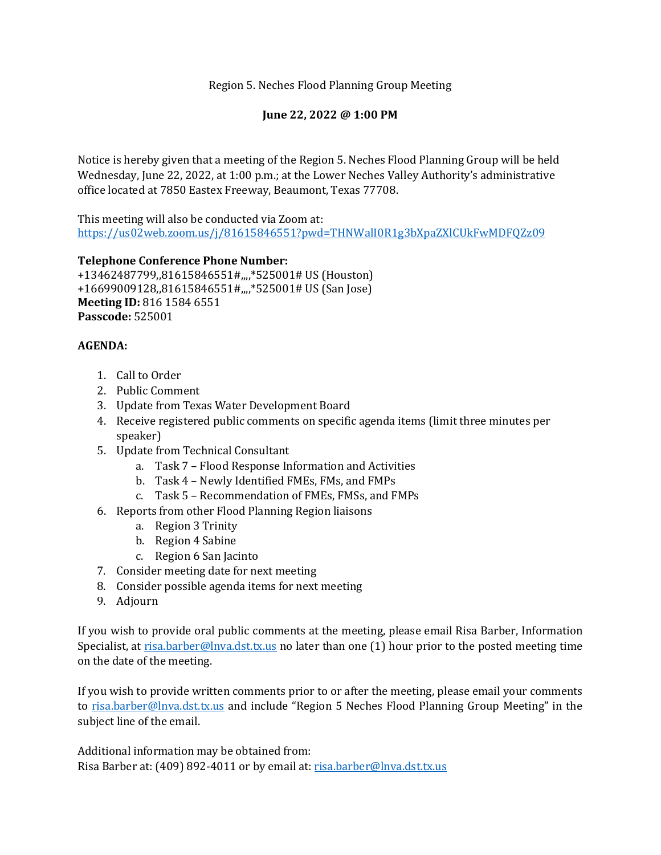Region 5. Neches Flood Planning Group Meeting

## **June 22, 2022 @ 1:00 PM**

Notice is hereby given that a meeting of the Region 5. Neches Flood Planning Group will be held Wednesday, June 22, 2022, at 1:00 p.m.; at the Lower Neches Valley Authority's administrative office located at 7850 Eastex Freeway, Beaumont, Texas 77708.

This meeting will also be conducted via Zoom at: <https://us02web.zoom.us/j/81615846551?pwd=THNWalI0R1g3bXpaZXlCUkFwMDFQZz09>

## **Telephone Conference Phone Number:**

+13462487799,,81615846551#,,,,\*525001# US (Houston) +16699009128,,81615846551#,,,,\*525001# US (San Jose) **Meeting ID:** 816 1584 6551 **Passcode:** 525001

## **AGENDA:**

- 1. Call to Order
- 2. Public Comment
- 3. Update from Texas Water Development Board
- 4. Receive registered public comments on specific agenda items (limit three minutes per speaker)
- 5. Update from Technical Consultant
	- a. Task 7 Flood Response Information and Activities
	- b. Task 4 Newly Identified FMEs, FMs, and FMPs
	- c. Task 5 Recommendation of FMEs, FMSs, and FMPs
- 6. Reports from other Flood Planning Region liaisons
	- a. Region 3 Trinity
	- b. Region 4 Sabine
	- c. Region 6 San Jacinto
- 7. Consider meeting date for next meeting
- 8. Consider possible agenda items for next meeting
- 9. Adjourn

If you wish to provide oral public comments at the meeting, please email Risa Barber, Information Specialist, at [risa.barber@lnva.dst.tx.us](mailto:risa.barber@lnva.dst.tx.us) no later than one (1) hour prior to the posted meeting time on the date of the meeting.

If you wish to provide written comments prior to or after the meeting, please email your comments to [risa.barber@lnva.dst.tx.us](mailto:risa.barber@lnva.dst.tx.us) and include "Region 5 Neches Flood Planning Group Meeting" in the subject line of the email.

Additional information may be obtained from: Risa Barber at: (409) 892-4011 or by email at: [risa.barber@lnva.dst.tx.us](mailto:risa.barber@lnva.dst.tx.us)